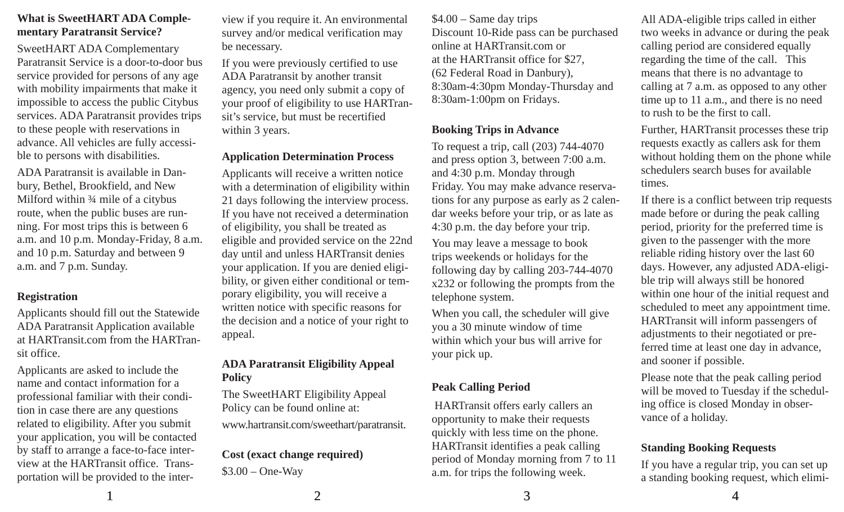# **What is SweetHART ADA Complementary Paratransit Service?**

SweetHART ADA Complementary Paratransit Service is a door-to-door bus service provided for persons of any age with mobility impairments that make it impossible to access the public Citybus services. ADA Paratransit provides trips to these people with reservations in advance. All vehicles are fully accessible to persons with disabilities.

ADA Paratransit is available in Danbury, Bethel, Brookfield, and New Milford within ¾ mile of a citybus route, when the public buses are running. For most trips this is between 6 a.m. and 10 p.m. Monday-Friday, 8 a.m. and 10 p.m. Saturday and between 9 a.m. and 7 p.m. Sunday.

# **Registration**

Applicants should fill out the Statewide ADA Paratransit Application available at HARTransit.com from the HARTransit office.

Applicants are asked to include the name and contact information for a professional familiar with their condition in case there are any questions related to eligibility. After you submit your application, you will be contacted by staff to arrange a face-to-face interview at the HARTransit office. Transportation will be provided to the interview if you require it. An environmental survey and/or medical verification may be necessary.

If you were previously certified to use ADA Paratransit by another transit agency, you need only submit a copy of your proof of eligibility to use HARTransit's service, but must be recertified within 3 years.

#### **Application Determination Process**

Applicants will receive a written notice with a determination of eligibility within 21 days following the interview process. If you have not received a determination of eligibility, you shall be treated as eligible and provided service on the 22nd day until and unless HARTransit denies your application. If you are denied eligibility, or given either conditional or temporary eligibility, you will receive a written notice with specific reasons for the decision and a notice of your right to appeal.

#### **ADA Paratransit Eligibility Appeal Policy**

The SweetHART Eligibility Appeal Policy can be found online at:

www.hartransit.com/sweethart/paratransit.

# **Cost (exact change required)** \$3.00 – One-Way

\$4.00 – Same day trips Discount 10-Ride pass can be purchased online at HARTransit.com or at the HARTransit office for \$27, (62 Federal Road in Danbury), 8:30am-4:30pm Monday-Thursday and 8:30am-1:00pm on Fridays.

# **Booking Trips in Advance**

To request a trip, call (203) 744-4070 and press option 3, between 7:00 a.m. and 4:30 p.m. Monday through Friday. You may make advance reservations for any purpose as early as 2 calendar weeks before your trip, or as late as 4:30 p.m. the day before your trip.

You may leave a message to book trips weekends or holidays for the following day by calling 203-744-4070 x232 or following the prompts from the telephone system.

When you call, the scheduler will give you a 30 minute window of time within which your bus will arrive for your pick up.

# **Peak Calling Period**

 HARTransit offers early callers an opportunity to make their requests quickly with less time on the phone. HARTransit identifies a peak calling period of Monday morning from 7 to 11 a.m. for trips the following week.

All ADA-eligible trips called in either two weeks in advance or during the peak calling period are considered equally regarding the time of the call. This means that there is no advantage to calling at 7 a.m. as opposed to any other time up to 11 a.m., and there is no need to rush to be the first to call.

Further, HARTransit processes these trip requests exactly as callers ask for them without holding them on the phone while schedulers search buses for available times.

If there is a conflict between trip requests made before or during the peak calling period, priority for the preferred time is given to the passenger with the more reliable riding history over the last 60 days. However, any adjusted ADA-eligible trip will always still be honored within one hour of the initial request and scheduled to meet any appointment time. HARTransit will inform passengers of adjustments to their negotiated or preferred time at least one day in advance, and sooner if possible.

Please note that the peak calling period will be moved to Tuesday if the scheduling office is closed Monday in observance of a holiday.

# **Standing Booking Requests**

If you have a regular trip, you can set up a standing booking request, which elimi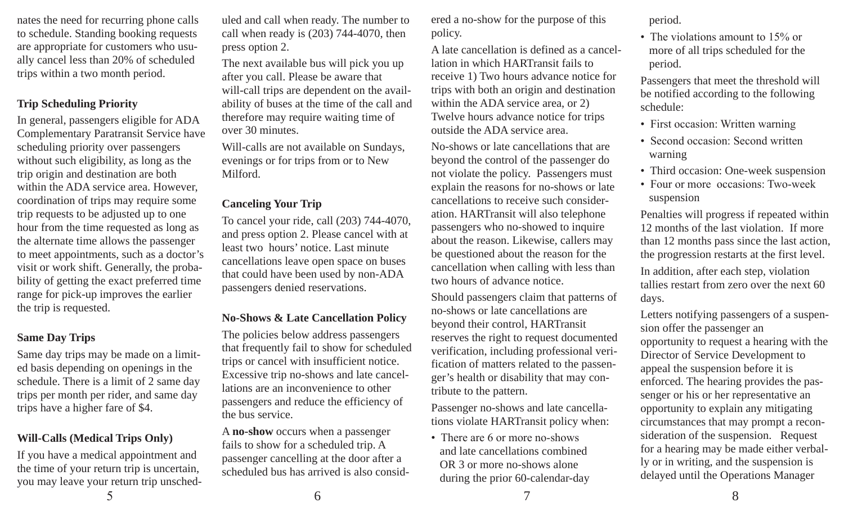nates the need for recurring phone calls to schedule. Standing booking requests are appropriate for customers who usually cancel less than 20% of scheduled trips within a two month period.

#### **Trip Scheduling Priority**

In general, passengers eligible for ADA Complementary Paratransit Service have scheduling priority over passengers without such eligibility, as long as the trip origin and destination are both within the ADA service area. However, coordination of trips may require some trip requests to be adjusted up to one hour from the time requested as long as the alternate time allows the passenger to meet appointments, such as a doctor's visit or work shift. Generally, the probability of getting the exact preferred time range for pick-up improves the earlier the trip is requested.

#### **Same Day Trips**

Same day trips may be made on a limited basis depending on openings in the schedule. There is a limit of 2 same day trips per month per rider, and same day trips have a higher fare of \$4.

# **Will-Calls (Medical Trips Only)**

 $5 \hspace{2.5cm} 6 \hspace{2.5cm} 7$ If you have a medical appointment and the time of your return trip is uncertain, you may leave your return trip unsched-

uled and call when ready. The number to call when ready is (203) 744-4070, then press option 2.

The next available bus will pick you up after you call. Please be aware that will-call trips are dependent on the availability of buses at the time of the call and therefore may require waiting time of over 30 minutes.

Will-calls are not available on Sundays, evenings or for trips from or to New Milford.

# **Canceling Your Trip**

To cancel your ride, call (203) 744-4070, and press option 2. Please cancel with at least two hours' notice. Last minute cancellations leave open space on buses that could have been used by non-ADA passengers denied reservations.

# **No-Shows & Late Cancellation Policy**

The policies below address passengers that frequently fail to show for scheduled trips or cancel with insufficient notice. Excessive trip no-shows and late cancellations are an inconvenience to other passengers and reduce the efficiency of the bus service.

A **no-show** occurs when a passenger fails to show for a scheduled trip. A passenger cancelling at the door after a scheduled bus has arrived is also considered a no-show for the purpose of this policy.

A late cancellation is defined as a cancellation in which HARTransit fails to receive 1) Two hours advance notice for trips with both an origin and destination within the ADA service area, or 2) Twelve hours advance notice for trips outside the ADA service area.

No-shows or late cancellations that are beyond the control of the passenger do not violate the policy. Passengers must explain the reasons for no-shows or late cancellations to receive such consideration. HARTransit will also telephone passengers who no-showed to inquire about the reason. Likewise, callers may be questioned about the reason for the cancellation when calling with less than two hours of advance notice.

Should passengers claim that patterns of no-shows or late cancellations are beyond their control, HARTransit reserves the right to request documented verification, including professional verification of matters related to the passenger's health or disability that may contribute to the pattern.

Passenger no-shows and late cancellations violate HARTransit policy when:

• There are 6 or more no-shows and late cancellations combined OR 3 or more no-shows alone during the prior 60-calendar-day period.

• The violations amount to 15% or more of all trips scheduled for the period.

Passengers that meet the threshold will be notified according to the following schedule:

- First occasion: Written warning
- Second occasion: Second written warning
- Third occasion: One-week suspension
- Four or more occasions: Two-week suspension

Penalties will progress if repeated within 12 months of the last violation. If more than 12 months pass since the last action, the progression restarts at the first level.

In addition, after each step, violation tallies restart from zero over the next 60 days.

Letters notifying passengers of a suspension offer the passenger an opportunity to request a hearing with the Director of Service Development to appeal the suspension before it is enforced. The hearing provides the passenger or his or her representative an opportunity to explain any mitigating circumstances that may prompt a reconsideration of the suspension. Request for a hearing may be made either verbally or in writing, and the suspension is delayed until the Operations Manager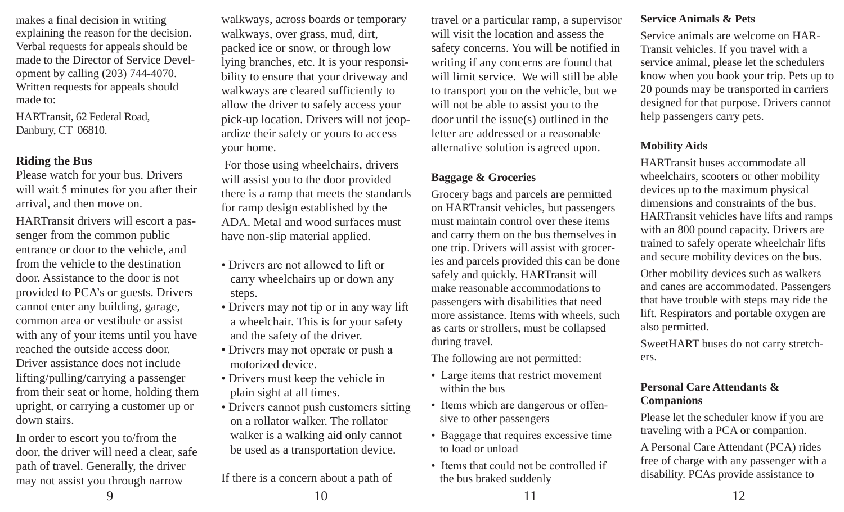makes a final decision in writing explaining the reason for the decision. Verbal requests for appeals should be made to the Director of Service Development by calling (203) 744-4070. Written requests for appeals should made to:

HARTransit, 62 Federal Road, Danbury, CT 06810.

# **Riding the Bus**

Please watch for your bus. Drivers will wait 5 minutes for you after their arrival, and then move on.

HARTransit drivers will escort a passenger from the common public entrance or door to the vehicle, and from the vehicle to the destination door. Assistance to the door is not provided to PCA's or guests. Drivers cannot enter any building, garage, common area or vestibule or assist with any of your items until you have reached the outside access door. Driver assistance does not include lifting/pulling/carrying a passenger from their seat or home, holding them upright, or carrying a customer up or down stairs.

In order to escort you to/from the door, the driver will need a clear, safe path of travel. Generally, the driver may not assist you through narrow

walkways, across boards or temporary walkways, over grass, mud, dirt, packed ice or snow, or through low lying branches, etc. It is your responsibility to ensure that your driveway and walkways are cleared sufficiently to allow the driver to safely access your pick-up location. Drivers will not jeopardize their safety or yours to access your home.

 For those using wheelchairs, drivers will assist you to the door provided there is a ramp that meets the standards for ramp design established by the ADA. Metal and wood surfaces must have non-slip material applied.

- Drivers are not allowed to lift or carry wheelchairs up or down any steps.
- Drivers may not tip or in any way lift a wheelchair. This is for your safety and the safety of the driver.
- Drivers may not operate or push a motorized device.
- Drivers must keep the vehicle in plain sight at all times.
- Drivers cannot push customers sitting on a rollator walker. The rollator walker is a walking aid only cannot be used as a transportation device.

9 10 11 12 If there is a concern about a path of

travel or a particular ramp, a supervisor will visit the location and assess the safety concerns. You will be notified in writing if any concerns are found that will limit service. We will still be able to transport you on the vehicle, but we will not be able to assist you to the door until the issue(s) outlined in the letter are addressed or a reasonable alternative solution is agreed upon.

# **Baggage & Groceries**

Grocery bags and parcels are permitted on HARTransit vehicles, but passengers must maintain control over these items and carry them on the bus themselves in one trip. Drivers will assist with groceries and parcels provided this can be done safely and quickly. HARTransit will make reasonable accommodations to passengers with disabilities that need more assistance. Items with wheels, such as carts or strollers, must be collapsed during travel.

The following are not permitted:

- Large items that restrict movement within the bus
- Items which are dangerous or offensive to other passengers
- Baggage that requires excessive time to load or unload
- Items that could not be controlled if the bus braked suddenly

# **Service Animals & Pets**

Service animals are welcome on HAR-Transit vehicles. If you travel with a service animal, please let the schedulers know when you book your trip. Pets up to 20 pounds may be transported in carriers designed for that purpose. Drivers cannot help passengers carry pets.

# **Mobility Aids**

HARTransit buses accommodate all wheelchairs, scooters or other mobility devices up to the maximum physical dimensions and constraints of the bus. HARTransit vehicles have lifts and ramps with an 800 pound capacity. Drivers are trained to safely operate wheelchair lifts and secure mobility devices on the bus.

Other mobility devices such as walkers and canes are accommodated. Passengers that have trouble with steps may ride the lift. Respirators and portable oxygen are also permitted.

SweetHART buses do not carry stretchers.

# **Personal Care Attendants & Companions**

Please let the scheduler know if you are traveling with a PCA or companion.

A Personal Care Attendant (PCA) rides free of charge with any passenger with a disability. PCAs provide assistance to